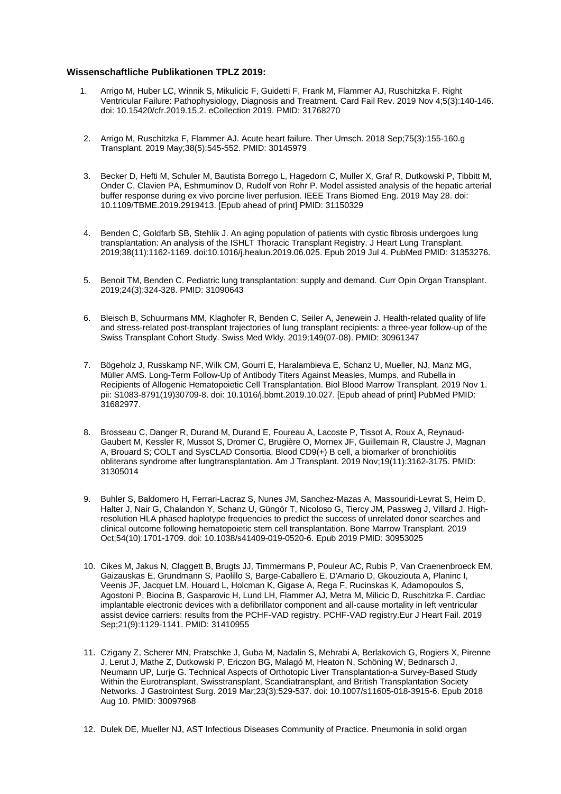## **Wissenschaftliche Publikationen TPLZ 2019:**

- 1. Arrigo M, Huber LC, Winnik S, Mikulicic F, Guidetti F, Frank M, Flammer AJ, Ruschitzka F. Right Ventricular Failure: Pathophysiology, Diagnosis and Treatment. Card Fail Rev. 2019 Nov 4;5(3):140-146. doi: 10.15420/cfr.2019.15.2. eCollection 2019. PMID: 31768270
- 2. Arrigo M, Ruschitzka F, Flammer AJ. Acute heart failure. Ther Umsch. 2018 Sep;75(3):155-160.g Transplant. 2019 May;38(5):545-552. PMID: 30145979
- 3. Becker D, Hefti M, Schuler M, Bautista Borrego L, Hagedorn C, Muller X, Graf R, Dutkowski P, Tibbitt M, Onder C, Clavien PA, Eshmuminov D, Rudolf von Rohr P. Model assisted analysis of the hepatic arterial buffer response during ex vivo porcine liver perfusion. IEEE Trans Biomed Eng. 2019 May 28. doi: 10.1109/TBME.2019.2919413. [Epub ahead of print] PMID: 31150329
- 4. Benden C, Goldfarb SB, Stehlik J. An aging population of patients with cystic fibrosis undergoes lung transplantation: An analysis of the ISHLT Thoracic Transplant Registry. J Heart Lung Transplant. 2019;38(11):1162-1169. doi:10.1016/j.healun.2019.06.025. Epub 2019 Jul 4. PubMed PMID: 31353276.
- 5. Benoit TM, Benden C. Pediatric lung transplantation: supply and demand. Curr Opin Organ Transplant. 2019;24(3):324-328. PMID: 31090643
- 6. Bleisch B, Schuurmans MM, Klaghofer R, Benden C, Seiler A, Jenewein J. Health-related quality of life and stress-related post-transplant trajectories of lung transplant recipients: a three-year follow-up of the Swiss Transplant Cohort Study. Swiss Med Wkly. 2019;149(07-08). PMID: 30961347
- 7. Bögeholz J, Russkamp NF, Wilk CM, Gourri E, Haralambieva E, Schanz U, Mueller, NJ, Manz MG, Müller AMS. Long-Term Follow-Up of Antibody Titers Against Measles, Mumps, and Rubella in Recipients of Allogenic Hematopoietic Cell Transplantation. Biol Blood Marrow Transplant. 2019 Nov 1. pii: S1083-8791(19)30709-8. doi: 10.1016/j.bbmt.2019.10.027. [Epub ahead of print] PubMed PMID: 31682977.
- 8. Brosseau C, Danger R, Durand M, Durand E, Foureau A, Lacoste P, Tissot A, Roux A, Reynaud-Gaubert M, Kessler R, Mussot S, Dromer C, Brugière O, Mornex JF, Guillemain R, Claustre J, Magnan A, Brouard S; COLT and SysCLAD Consortia. Blood CD9(+) B cell, a biomarker of bronchiolitis obliterans syndrome after lungtransplantation. Am J Transplant. 2019 Nov;19(11):3162-3175. PMID: 31305014
- 9. Buhler S, Baldomero H, Ferrari-Lacraz S, Nunes JM, Sanchez-Mazas A, Massouridi-Levrat S, Heim D, Halter J, Nair G, Chalandon Y, Schanz U, Güngör T, Nicoloso G, Tiercy JM, Passweg J, Villard J. Highresolution HLA phased haplotype frequencies to predict the success of unrelated donor searches and clinical outcome following hematopoietic stem cell transplantation. Bone Marrow Transplant. 2019 Oct;54(10):1701-1709. doi: 10.1038/s41409-019-0520-6. Epub 2019 PMID: 30953025
- 10. Cikes M, Jakus N, Claggett B, Brugts JJ, Timmermans P, Pouleur AC, Rubis P, Van Craenenbroeck EM, Gaizauskas E, Grundmann S, Paolillo S, Barge-Caballero E, D'Amario D, Gkouziouta A, Planinc I, Veenis JF, Jacquet LM, Houard L, Holcman K, Gigase A, Rega F, Rucinskas K, Adamopoulos S, Agostoni P, Biocina B, Gasparovic H, Lund LH, Flammer AJ, Metra M, Milicic D, Ruschitzka F. Cardiac implantable electronic devices with a defibrillator component and all-cause mortality in left ventricular assist device carriers: results from the PCHF-VAD registry. PCHF-VAD registry.Eur J Heart Fail. 2019 Sep;21(9):1129-1141. PMID: 31410955
- 11. Czigany Z, Scherer MN, Pratschke J, Guba M, Nadalin S, Mehrabi A, Berlakovich G, Rogiers X, Pirenne J, Lerut J, Mathe Z, Dutkowski P, Ericzon BG, Malagó M, Heaton N, Schöning W, Bednarsch J, Neumann UP, Lurje G. Technical Aspects of Orthotopic Liver Transplantation-a Survey-Based Study Within the Eurotransplant, Swisstransplant, Scandiatransplant, and British Transplantation Society Networks. J Gastrointest Surg. 2019 Mar;23(3):529-537. doi: 10.1007/s11605-018-3915-6. Epub 2018 Aug 10. PMID: 30097968
- 12. Dulek DE, Mueller NJ, AST Infectious Diseases Community of Practice. Pneumonia in solid organ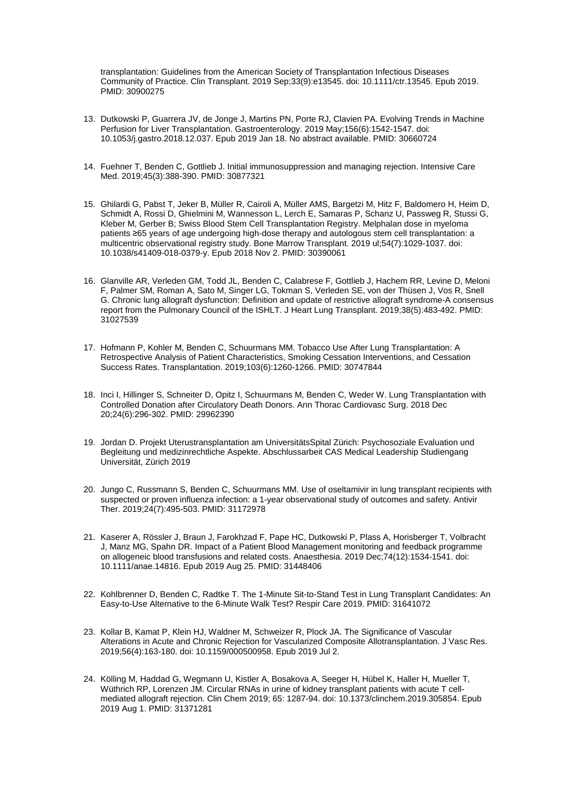transplantation: Guidelines from the American Society of Transplantation Infectious Diseases Community of Practice. Clin Transplant. 2019 Sep;33(9):e13545. doi: 10.1111/ctr.13545. Epub 2019. PMID: 30900275

- 13. Dutkowski P, Guarrera JV, de Jonge J, Martins PN, Porte RJ, Clavien PA. Evolving Trends in Machine Perfusion for Liver Transplantation. Gastroenterology. 2019 May;156(6):1542-1547. doi: 10.1053/j.gastro.2018.12.037. Epub 2019 Jan 18. No abstract available. PMID: 30660724
- 14. Fuehner T, Benden C, Gottlieb J. Initial immunosuppression and managing rejection. Intensive Care Med. 2019;45(3):388-390. PMID: 30877321
- 15. Ghilardi G, Pabst T, Jeker B, Müller R, Cairoli A, Müller AMS, Bargetzi M, Hitz F, Baldomero H, Heim D, Schmidt A, Rossi D, Ghielmini M, Wannesson L, Lerch E, Samaras P, Schanz U, Passweg R, Stussi G, Kleber M, Gerber B; Swiss Blood Stem Cell Transplantation Registry. Melphalan dose in myeloma patients ≥65 years of age undergoing high-dose therapy and autologous stem cell transplantation: a multicentric observational registry study. Bone Marrow Transplant. 2019 ul;54(7):1029-1037. doi: 10.1038/s41409-018-0379-y. Epub 2018 Nov 2. PMID: 30390061
- 16. Glanville AR, Verleden GM, Todd JL, Benden C, Calabrese F, Gottlieb J, Hachem RR, Levine D, Meloni F, Palmer SM, Roman A, Sato M, Singer LG, Tokman S, Verleden SE, von der Thüsen J, Vos R, Snell G. Chronic lung allograft dysfunction: Definition and update of restrictive allograft syndrome-A consensus report from the Pulmonary Council of the ISHLT. J Heart Lung Transplant. 2019;38(5):483-492. PMID: 31027539
- 17. Hofmann P, Kohler M, Benden C, Schuurmans MM. Tobacco Use After Lung Transplantation: A Retrospective Analysis of Patient Characteristics, Smoking Cessation Interventions, and Cessation Success Rates. Transplantation. 2019;103(6):1260-1266. PMID: 30747844
- 18. Inci I, Hillinger S, Schneiter D, Opitz I, Schuurmans M, Benden C, Weder W. Lung Transplantation with Controlled Donation after Circulatory Death Donors. Ann Thorac Cardiovasc Surg. 2018 Dec 20;24(6):296-302. PMID: 29962390
- 19. Jordan D. Projekt Uterustransplantation am UniversitätsSpital Zürich: Psychosoziale Evaluation und Begleitung und medizinrechtliche Aspekte. Abschlussarbeit CAS Medical Leadership Studiengang Universität, Zürich 2019
- 20. Jungo C, Russmann S, Benden C, Schuurmans MM. Use of oseltamivir in lung transplant recipients with suspected or proven influenza infection: a 1-year observational study of outcomes and safety. Antivir Ther. 2019;24(7):495-503. PMID: 31172978
- 21. Kaserer A, Rössler J, Braun J, Farokhzad F, Pape HC, Dutkowski P, Plass A, Horisberger T, Volbracht J, Manz MG, Spahn DR. Impact of a Patient Blood Management monitoring and feedback programme on allogeneic blood transfusions and related costs. Anaesthesia. 2019 Dec;74(12):1534-1541. doi: 10.1111/anae.14816. Epub 2019 Aug 25. PMID: 31448406
- 22. Kohlbrenner D, Benden C, Radtke T. The 1-Minute Sit-to-Stand Test in Lung Transplant Candidates: An Easy-to-Use Alternative to the 6-Minute Walk Test? Respir Care 2019. PMID: 31641072
- 23. Kollar B, Kamat P, Klein HJ, Waldner M, Schweizer R, Plock JA. The Significance of Vascular Alterations in Acute and Chronic Rejection for Vascularized Composite Allotransplantation. J Vasc Res. 2019;56(4):163-180. doi: 10.1159/000500958. Epub 2019 Jul 2.
- 24. Kölling M, Haddad G, Wegmann U, Kistler A, Bosakova A, Seeger H, Hübel K, Haller H, Mueller T, Wüthrich RP, Lorenzen JM. Circular RNAs in urine of kidney transplant patients with acute T cellmediated allograft rejection. Clin Chem 2019; 65: 1287-94. doi: 10.1373/clinchem.2019.305854. Epub 2019 Aug 1. PMID: 31371281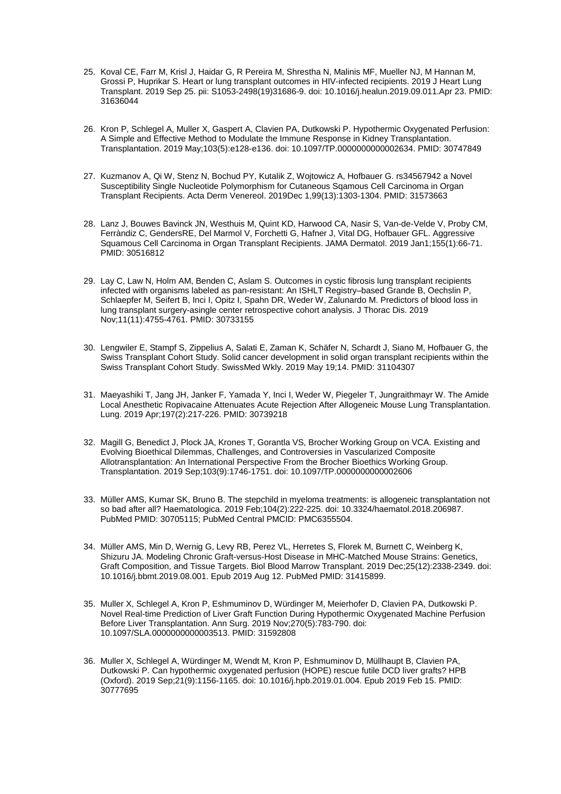- 25. Koval CE, Farr M, Krisl J, Haidar G, R Pereira M, Shrestha N, Malinis MF, Mueller NJ, M Hannan M, Grossi P, Huprikar S. Heart or lung transplant outcomes in HIV-infected recipients. 2019 J Heart Lung Transplant. 2019 Sep 25. pii: S1053-2498(19)31686-9. doi: 10.1016/j.healun.2019.09.011.Apr 23. PMID: 31636044
- 26. Kron P, Schlegel A, Muller X, Gaspert A, Clavien PA, Dutkowski P. Hypothermic Oxygenated Perfusion: A Simple and Effective Method to Modulate the Immune Response in Kidney Transplantation. Transplantation. 2019 May;103(5):e128-e136. doi: 10.1097/TP.0000000000002634. PMID: 30747849
- 27. Kuzmanov A, Qi W, Stenz N, Bochud PY, Kutalik Z, Wojtowicz A, Hofbauer G. rs34567942 a Novel Susceptibility Single Nucleotide Polymorphism for Cutaneous Sqamous Cell Carcinoma in Organ Transplant Recipients. Acta Derm Venereol. 2019Dec 1,99(13):1303-1304. PMID: 31573663
- 28. Lanz J, Bouwes Bavinck JN, Westhuis M, Quint KD, Harwood CA, Nasir S, Van-de-Velde V, Proby CM, Ferràndiz C, GendersRE, Del Marmol V, Forchetti G, Hafner J, Vital DG, Hofbauer GFL. Aggressive Squamous Cell Carcinoma in Organ Transplant Recipients. JAMA Dermatol. 2019 Jan1;155(1):66-71. PMID: 30516812
- 29. Lay C, Law N, Holm AM, Benden C, Aslam S. Outcomes in cystic fibrosis lung transplant recipients infected with organisms labeled as pan-resistant: An ISHLT Registry-based Grande B, Oechslin P, Schlaepfer M, Seifert B, Inci I, Opitz I, Spahn DR, Weder W, Zalunardo M. Predictors of blood loss in lung transplant surgery-asingle center retrospective cohort analysis. J Thorac Dis. 2019 Nov;11(11):4755-4761. PMID: 30733155
- 30. Lengwiler E, Stampf S, Zippelius A, Salati E, Zaman K, Schäfer N, Schardt J, Siano M, Hofbauer G, the Swiss Transplant Cohort Study. Solid cancer development in solid organ transplant recipients within the Swiss Transplant Cohort Study. SwissMed Wkly. 2019 May 19;14. PMID: 31104307
- 31. Maeyashiki T, Jang JH, Janker F, Yamada Y, Inci I, Weder W, Piegeler T, Jungraithmayr W. The Amide Local Anesthetic Ropivacaine Attenuates Acute Rejection After Allogeneic Mouse Lung Transplantation. Lung. 2019 Apr;197(2):217-226. PMID: 30739218
- 32. Magill G, Benedict J, Plock JA, Krones T, Gorantla VS, Brocher Working Group on VCA. Existing and Evolving Bioethical Dilemmas, Challenges, and Controversies in Vascularized Composite Allotransplantation: An International Perspective From the Brocher Bioethics Working Group. Transplantation. 2019 Sep;103(9):1746-1751. doi: 10.1097/TP.0000000000002606
- 33. Müller AMS, Kumar SK, Bruno B. The stepchild in myeloma treatments: is allogeneic transplantation not so bad after all? Haematologica. 2019 Feb;104(2):222-225. doi: 10.3324/haematol.2018.206987. PubMed PMID: 30705115; PubMed Central PMCID: PMC6355504.
- 34. Müller AMS, Min D, Wernig G, Levy RB, Perez VL, Herretes S, Florek M, Burnett C, Weinberg K, Shizuru JA. Modeling Chronic Graft-versus-Host Disease in MHC-Matched Mouse Strains: Genetics, Graft Composition, and Tissue Targets. Biol Blood Marrow Transplant. 2019 Dec;25(12):2338-2349. doi: 10.1016/j.bbmt.2019.08.001. Epub 2019 Aug 12. PubMed PMID: 31415899.
- 35. Muller X, Schlegel A, Kron P, Eshmuminov D, Würdinger M, Meierhofer D, Clavien PA, Dutkowski P. Novel Real-time Prediction of Liver Graft Function During Hypothermic Oxygenated Machine Perfusion Before Liver Transplantation. Ann Surg. 2019 Nov;270(5):783-790. doi: 10.1097/SLA.0000000000003513. PMID: 31592808
- 36. Muller X, Schlegel A, Würdinger M, Wendt M, Kron P, Eshmuminov D, Müllhaupt B, Clavien PA, Dutkowski P. Can hypothermic oxygenated perfusion (HOPE) rescue futile DCD liver grafts? HPB (Oxford). 2019 Sep;21(9):1156-1165. doi: 10.1016/j.hpb.2019.01.004. Epub 2019 Feb 15. PMID: 30777695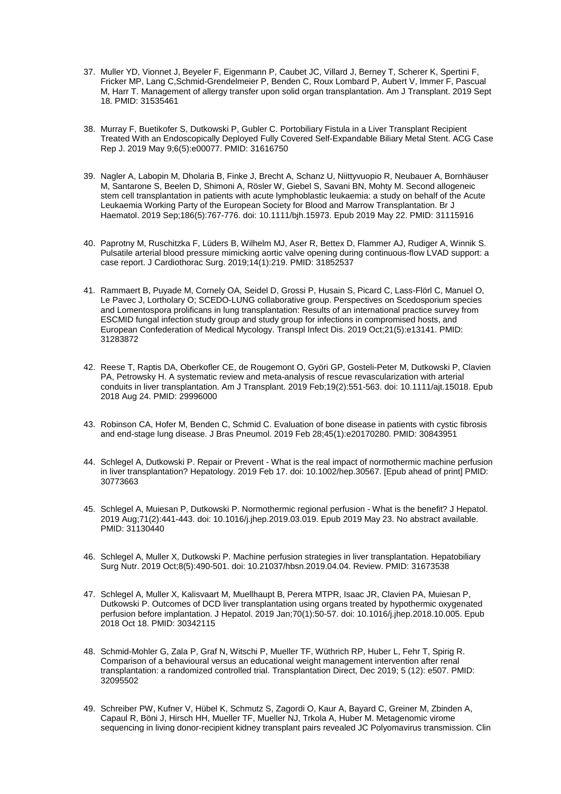- 37. Muller YD, Vionnet J, Beyeler F, Eigenmann P, Caubet JC, Villard J, Berney T, Scherer K, Spertini F, Fricker MP, Lang C,Schmid-Grendelmeier P, Benden C, Roux Lombard P, Aubert V, Immer F, Pascual M, Harr T. Management of allergy transfer upon solid organ transplantation. Am J Transplant. 2019 Sept 18. PMID: 31535461
- 38. Murray F, Buetikofer S, Dutkowski P, Gubler C. Portobiliary Fistula in a Liver Transplant Recipient Treated With an Endoscopically Deployed Fully Covered Self-Expandable Biliary Metal Stent. ACG Case Rep J. 2019 May 9;6(5):e00077. PMID: 31616750
- 39. Nagler A, Labopin M, Dholaria B, Finke J, Brecht A, Schanz U, Niittyvuopio R, Neubauer A, Bornhäuser M, Santarone S, Beelen D, Shimoni A, Rösler W, Giebel S, Savani BN, Mohty M. Second allogeneic stem cell transplantation in patients with acute lymphoblastic leukaemia: a study on behalf of the Acute Leukaemia Working Party of the European Society for Blood and Marrow Transplantation. Br J Haematol. 2019 Sep;186(5):767-776. doi: 10.1111/bjh.15973. Epub 2019 May 22. PMID: 31115916
- 40. Paprotny M, Ruschitzka F, Lüders B, Wilhelm MJ, Aser R, Bettex D, Flammer AJ, Rudiger A, Winnik S. Pulsatile arterial blood pressure mimicking aortic valve opening during continuous-flow LVAD support: a case report. J Cardiothorac Surg. 2019;14(1):219. PMID: 31852537
- 41. Rammaert B, Puyade M, Cornely OA, Seidel D, Grossi P, Husain S, Picard C, Lass-Flörl C, Manuel O, Le Pavec J, Lortholary O; SCEDO-LUNG collaborative group. Perspectives on Scedosporium species and Lomentospora prolificans in lung transplantation: Results of an international practice survey from ESCMID fungal infection study group and study group for infections in compromised hosts, and European Confederation of Medical Mycology. Transpl Infect Dis. 2019 Oct;21(5):e13141. PMID: 31283872
- 42. Reese T, Raptis DA, Oberkofler CE, de Rougemont O, Györi GP, Gosteli-Peter M, Dutkowski P, Clavien PA, Petrowsky H. A systematic review and meta-analysis of rescue revascularization with arterial conduits in liver transplantation. Am J Transplant. 2019 Feb;19(2):551-563. doi: 10.1111/ajt.15018. Epub 2018 Aug 24. PMID: 29996000
- 43. Robinson CA, Hofer M, Benden C, Schmid C. Evaluation of bone disease in patients with cystic fibrosis and end-stage lung disease. J Bras Pneumol. 2019 Feb 28;45(1):e20170280. PMID: 30843951
- 44. Schlegel A, Dutkowski P. Repair or Prevent What is the real impact of normothermic machine perfusion in liver transplantation? Hepatology. 2019 Feb 17. doi: 10.1002/hep.30567. [Epub ahead of print] PMID: 30773663
- 45. Schlegel A, Muiesan P, Dutkowski P. Normothermic regional perfusion What is the benefit? J Hepatol. 2019 Aug;71(2):441-443. doi: 10.1016/j.jhep.2019.03.019. Epub 2019 May 23. No abstract available. PMID: 31130440
- 46. Schlegel A, Muller X, Dutkowski P. Machine perfusion strategies in liver transplantation. Hepatobiliary Surg Nutr. 2019 Oct;8(5):490-501. doi: 10.21037/hbsn.2019.04.04. Review. PMID: 31673538
- 47. Schlegel A, Muller X, Kalisvaart M, Muellhaupt B, Perera MTPR, Isaac JR, Clavien PA, Muiesan P, Dutkowski P. Outcomes of DCD liver transplantation using organs treated by hypothermic oxygenated perfusion before implantation. J Hepatol. 2019 Jan;70(1):50-57. doi: 10.1016/j.jhep.2018.10.005. Epub 2018 Oct 18. PMID: 30342115
- 48. Schmid-Mohler G, Zala P, Graf N, Witschi P, Mueller TF, Wüthrich RP, Huber L, Fehr T, Spirig R. Comparison of a behavioural versus an educational weight management intervention after renal transplantation: a randomized controlled trial. Transplantation Direct, Dec 2019; 5 (12): e507. PMID: 32095502
- 49. Schreiber PW, Kufner V, Hübel K, Schmutz S, Zagordi O, Kaur A, Bayard C, Greiner M, Zbinden A, Capaul R, Böni J, Hirsch HH, Mueller TF, Mueller NJ, Trkola A, Huber M. Metagenomic virome sequencing in living donor-recipient kidney transplant pairs revealed JC Polyomavirus transmission. Clin